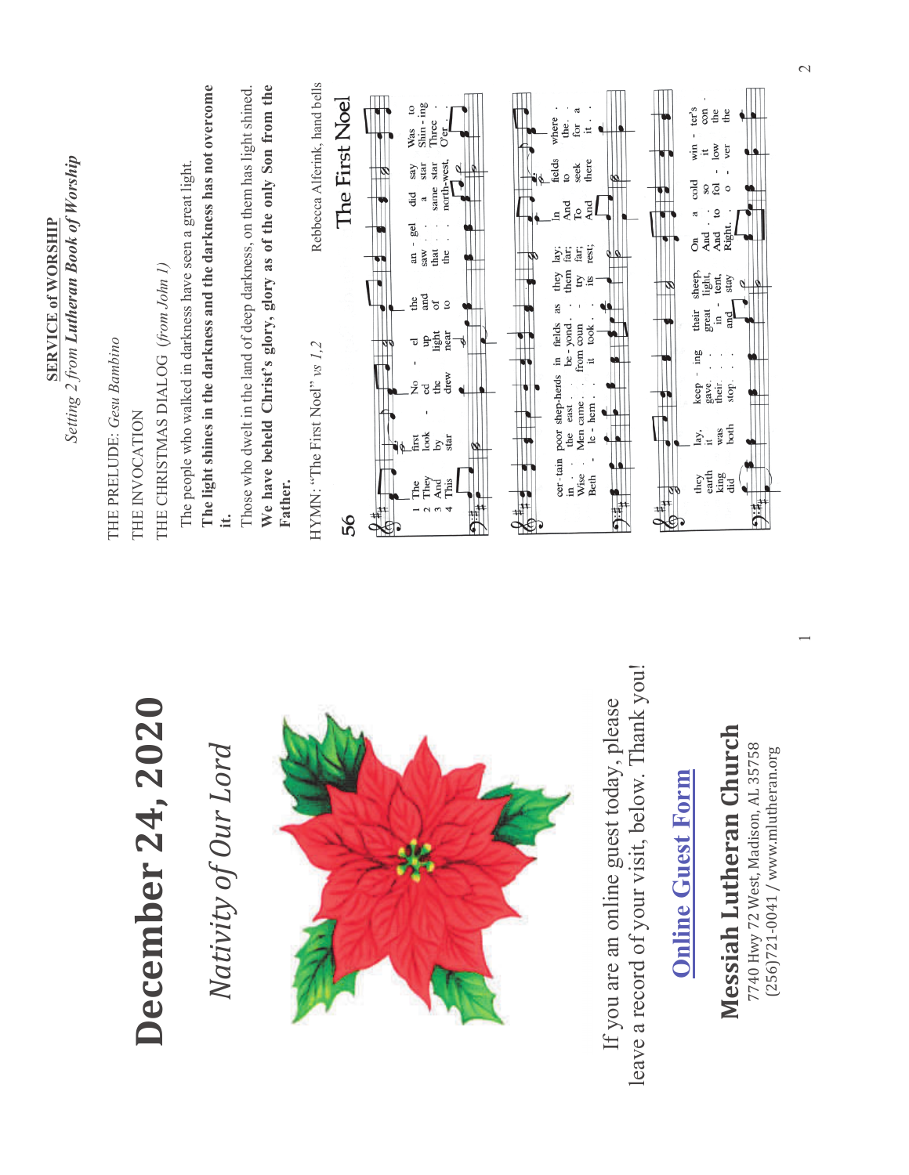| Setting 2 from <b>Lutheran Book of Worship</b><br><b>SERVICE of WORSHIP</b> | THE CHRISTMAS DIALOG (from John 1)<br>THE PRELUDE: Gesu Bambino<br>THE INVOCATION | We have beheld Christ's glory, glory as of the only Son from the<br>The light shines in the darkness and the darkness has not overcome<br>Those who dwelt in the land of deep darkness, on them has light shined.<br>The people who walked in darkness have seen a great light.<br>Father. | Rebbecca Alferink, hand bells<br>The First Noel<br>Shin-ing<br>$\mathbf{c}$<br>ter's<br>con<br>ಸ<br>the<br>the<br>where<br>the.<br>Three<br>for<br>Was<br>Ħ<br>O <sub>CI</sub><br>win<br>$\sim$<br>ver<br>$\ddot{=}$<br>fields<br>there<br>north-west<br>star<br>star<br>seek<br>say<br>а<br>$\blacksquare$<br>$\overline{\mathbf{c}}$<br>م<br>cold<br>$\rm{S}O$<br>fol<br>same<br>$\circ$<br>Чä<br>a<br>And<br>And<br>Ğ<br>$\circ$<br>$\Xi$<br>ಡ<br>gel<br>Right.<br>On<br>And<br>And<br>an -<br>rest;<br>they lay;<br>them far;<br>far;<br>far;<br>saw<br>that<br>the<br>۳<br>sheep,<br>light,<br>tent,<br>Èis<br>stay<br>$\frac{1}{2}$ and<br>σf<br>$\overline{a}$<br>as<br>great<br>their<br>and<br>$\Xi$<br>be - yond.<br>in fields<br>from coun<br>took<br>ngil<br>Light<br>near<br>ಕ<br>HYMN: "The First Noel" vs 1,2<br>gui.<br>$\ddot{ }$<br>cer-tain poor shep-herds<br>drew<br>stop.<br>the<br>ž<br>keep<br>gave.<br>their.<br>g<br>Men came . $_{\rm le}$ - $_{\rm hem}$ .<br>east<br>both<br>was<br>lay,<br>look<br>the<br>star<br>irst<br>브<br>$\equiv$<br>ΣÁ<br>øø<br>they<br>earth<br>Wise<br>king<br>Beth<br>did<br>This<br>The <sub>)</sub><br>And<br>Fhe<br>Ξ<br>ष<br>$\frac{1}{2}$<br>9#<br><b>PER</b><br>$\epsilon$<br>4<br>$\hat{\mathbf{P}}_{\pm}$<br>56<br>€ |  |
|-----------------------------------------------------------------------------|-----------------------------------------------------------------------------------|--------------------------------------------------------------------------------------------------------------------------------------------------------------------------------------------------------------------------------------------------------------------------------------------|--------------------------------------------------------------------------------------------------------------------------------------------------------------------------------------------------------------------------------------------------------------------------------------------------------------------------------------------------------------------------------------------------------------------------------------------------------------------------------------------------------------------------------------------------------------------------------------------------------------------------------------------------------------------------------------------------------------------------------------------------------------------------------------------------------------------------------------------------------------------------------------------------------------------------------------------------------------------------------------------------------------------------------------------------------------------------------------------------------------------------------------------------------------------------------------------------------------------------------------------------------------------------------------|--|
|                                                                             | $\mathbf{S}$<br>December 24, 20                                                   | Nativity of Our Lord                                                                                                                                                                                                                                                                       | leave a record of your visit, below. Thank you!<br>If you are an online guest today, please<br>Messiah Lutheran Church<br>7740 Hwy 72 West, Madison, AL 35758<br>(256)721-0041 / www.mlutheran.org<br><b>Online Guest Form</b>                                                                                                                                                                                                                                                                                                                                                                                                                                                                                                                                                                                                                                                                                                                                                                                                                                                                                                                                                                                                                                                       |  |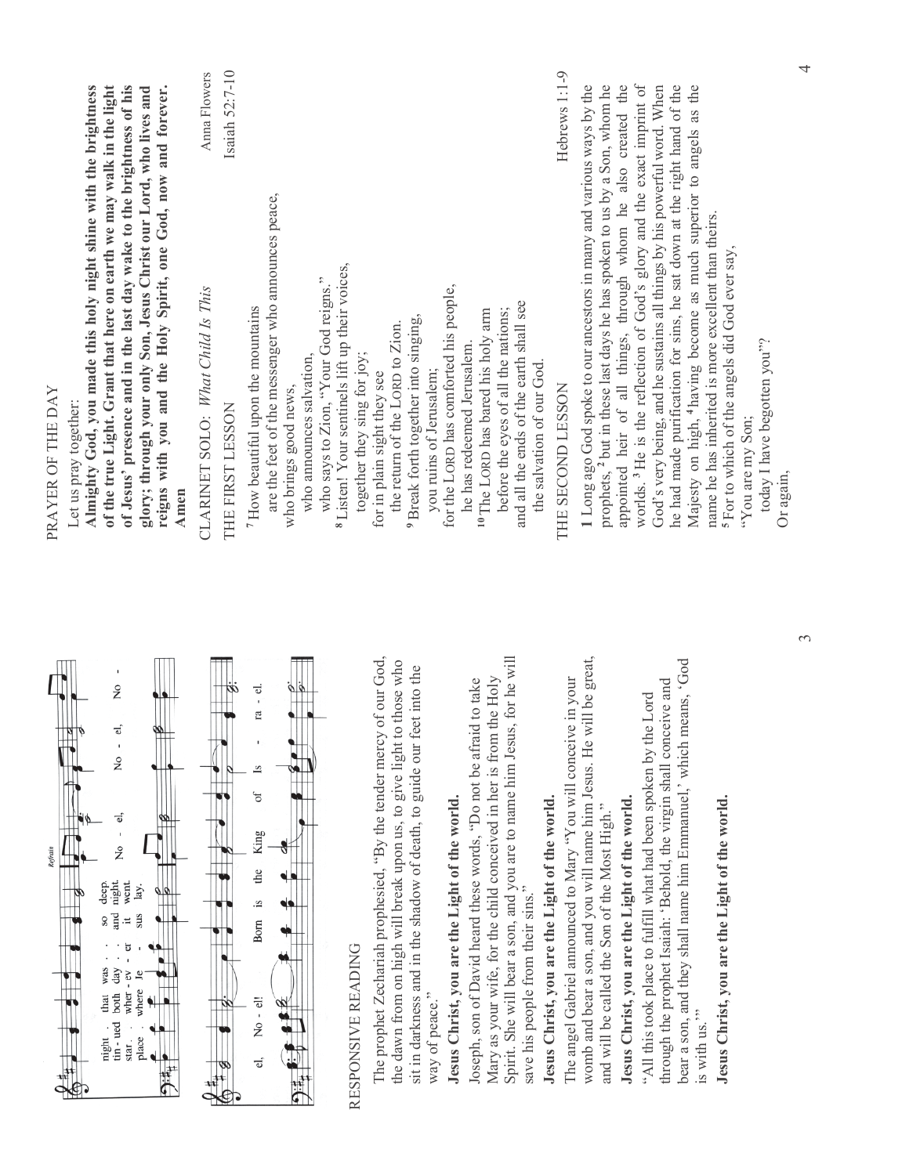| of the true Light. Grant that here on earth we may walk in the light<br>of Jesus' presence and in the last day wake to the brightness of his<br>reigns with you and the Holy Spirit, one God, now and forever.<br>Almighty God, you made this holy night shine with the brightness<br>glory; through your only Son, Jesus Christ our Lord, who lives and<br>PRAYER OF THE DAY<br>Let us pray together:<br>Amen | Isaiah 52:7-10<br>Anna Flowers<br>CLARINET SOLO: What Child Is This<br>THE FIRST LESSON | are the feet of the messenger who announces peace,<br><sup>8</sup> Listen! Your sentinels lift up their voices,<br>who says to Zion, "Your God reigns."<br><sup>7</sup> How beautiful upon the mountains<br>who announces salvation,<br>who brings good news, | together they sing for joy; | <sup>9</sup> Break forth together into singing,<br>the return of the LORD to Zion.<br>for in plain sight they see                                                                                                    | for the LORD has comforted his people,<br>you ruins of Jerusalem; | and all the ends of the earth shall see<br>before the eyes of all the nations;<br><sup>10</sup> The LORD has bared his holy arm<br>he has redeemed Jerusalem.<br>the salvation of our God.                                                              | Hebrews 1:1-9<br>THE SECOND LESSON                                                                              | appointed heir of all things, through whom he also created the<br>1 Long ago God spoke to our ancestors in many and various ways by the<br>prophets, <sup>2</sup> but in these last days he has spoken to us by a Son, whom he | worlds. <sup>3</sup> He is the reflection of God's glory and the exact imprint of<br>he had made purification for sins, he sat down at the right hand of the<br>God's very being, and he sustains all things by his powerful word. When                     | Majesty on high, <sup>4</sup> having become as much superior to angels as the<br>name he has inherited is more excellent than theirs. | <sup>5</sup> For to which of the angels did God ever say, |
|----------------------------------------------------------------------------------------------------------------------------------------------------------------------------------------------------------------------------------------------------------------------------------------------------------------------------------------------------------------------------------------------------------------|-----------------------------------------------------------------------------------------|---------------------------------------------------------------------------------------------------------------------------------------------------------------------------------------------------------------------------------------------------------------|-----------------------------|----------------------------------------------------------------------------------------------------------------------------------------------------------------------------------------------------------------------|-------------------------------------------------------------------|---------------------------------------------------------------------------------------------------------------------------------------------------------------------------------------------------------------------------------------------------------|-----------------------------------------------------------------------------------------------------------------|--------------------------------------------------------------------------------------------------------------------------------------------------------------------------------------------------------------------------------|-------------------------------------------------------------------------------------------------------------------------------------------------------------------------------------------------------------------------------------------------------------|---------------------------------------------------------------------------------------------------------------------------------------|-----------------------------------------------------------|
| ż<br>$\vec{v}$<br>óб.<br>$\overline{R}$<br>ತ.<br>ż<br>night.<br>went.<br>$\rm{de}$<br>lay.<br>and<br>sus<br>Ħ<br>was<br>day<br>wher - ev<br>where<br>that<br>both<br>tin - ued<br>place<br>night<br>star.                                                                                                                                                                                                      |                                                                                         | ra - el.<br>of<br>King<br>the<br>.s<br>Born<br>No - el!<br>d,                                                                                                                                                                                                 | RESPONSIVE READING          | The prophet Zechariah prophesied, "By the tender mercy of our God,<br>the dawn from on high will break upon us, to give light to those who<br>sit in darkness and in the shadow of death, to guide our feet into the | Jesus Christ, you are the Light of the world.<br>way of peace."   | Spirit. She will bear a son, and you are to name him Jesus, for he will<br>Mary as your wife, for the child conceived in her is from the Holy<br>Joseph, son of David heard these words, "Do not be afraid to take<br>save his people from their sins." | The angel Gabriel announced to Mary "You will conceive in your<br>Jesus Christ, you are the Light of the world. | womb and bear a son, and you will name him Jesus. He will be great,<br>and will be called the Son of the Most High."                                                                                                           | bear a son, and they shall name him Emmanuel,' which means, 'God<br>through the prophet Isaiah: 'Behold, the virgin shall conceive and<br>"All this took place to fulfill what had been spoken by the Lord<br>Jesus Christ, you are the Light of the world. | is with us."                                                                                                                          | Jesus Christ, you are the Light of the world.             |

"You are my Son;

"You are my Son;

today I have begotten you"?

today I have begotten you"?

Or again,

 $\infty$ 

 $\overline{4}$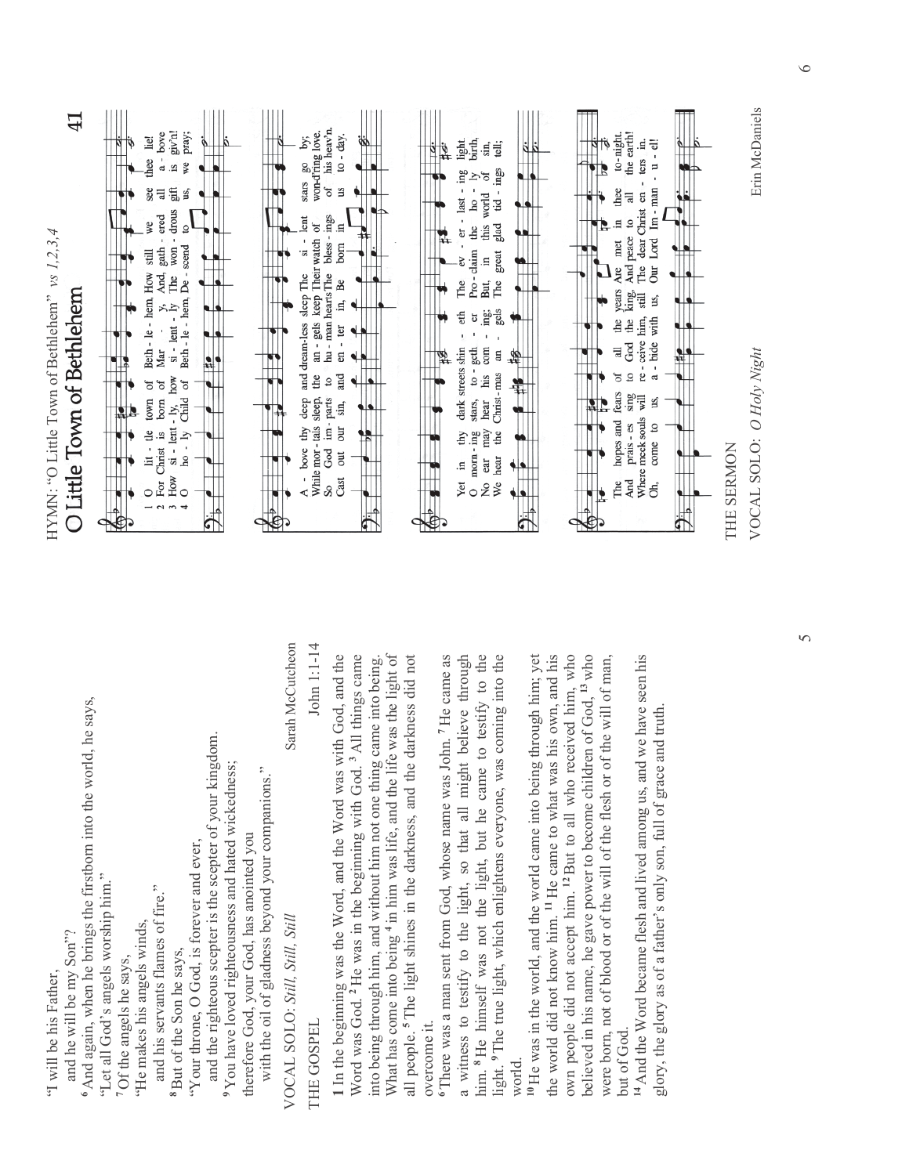| $\ddot{+}$<br>HYMN: "O Little Town of Bethlehem" vs 1,2,3,4<br>Little Town of Bethlehem |                                                                                                                      | ٥                                                       | $a -$ bove<br>giv'n!<br>lie!<br>thee<br>s.<br>$\mathfrak{g}^{\text{th}}$<br>see<br>$\exists$<br>- drous<br>$\frac{1}{2}$ Mar - $y$ , And, gath - ered<br>si - lent - ly The won - drou<br>we<br>Beth - le - hem, How still<br>Mar<br>how<br>town of<br>of<br>born<br>$si$ - lent - ly,<br>lit - tle<br>For Christ is<br>How | pray;<br>₿<br>us.<br>ß<br>Beth - le - hem, De - scend<br>Child of<br>$ho - ly$<br>$\circ$<br>$\overline{a}$ |                                                                                                                              |                                                                                                |                                                     | suars go by;<br>won-d'ring love.<br>stars<br>- lent<br>an - gels keep Their watch of<br>Sİ<br>and dream-less sleep The<br>the<br>bove thy deep<br>While mor-tals sleep,<br>∢ | his heav'n.<br>$10 - day$ .<br>σf<br>З<br>bless - ings<br>$\Xi$<br>born<br>hu - man hearts The<br>Be<br>Ę,<br>en - ter<br>and<br>$\overline{c}$<br>God im-parts<br>sin,<br>our<br>out<br>Cast<br>S. |                                                                                                                                                                     |                                                                           |                                                                                                        |                                                                                               | birth,<br>light.<br>$-$ er $-$ last $-$ ing<br>$h$ o -<br>Pro-claim the<br>The<br>eth<br>đ<br>dark streets shin<br>to $-$ geth<br>stars,<br>$_{\rm{thy}}$<br>morn-ing<br>₿.<br>Yet<br>$\circ$ | tell;<br>sın,<br>tid - ings<br>σf<br>this world<br>glad<br>great<br>$\Xi$<br>But,<br>The<br>း<br>မြစ်<br>၁၉<br>com<br>$\overline{a}$<br>his<br>Christ-mas<br>hear<br>may<br>the<br>hear<br>ear<br>ż<br>We | П                                                                                           |                                                                                |                                                                                                                                                                   | to-night<br>thee<br>$\Xi$<br>met<br>years Are<br>the<br>급<br>fears<br>hopes and<br>The | the earth<br>Ę,<br>ters<br>The dear Christ en<br>$\exists$<br>$\overline{a}$<br>And peace<br>king.<br>still<br>re - ceive him,<br>the<br>God<br>$\overline{a}$<br>$\sin g$<br>will<br>Where meek souls<br>prais - es<br>And | $- u - el$<br>Our Lord Im - man<br>us.<br>a - bide with<br>us.<br>$\circ$<br>come<br>ð, | r, | THE SERMON |
|-----------------------------------------------------------------------------------------|----------------------------------------------------------------------------------------------------------------------|---------------------------------------------------------|-----------------------------------------------------------------------------------------------------------------------------------------------------------------------------------------------------------------------------------------------------------------------------------------------------------------------------|-------------------------------------------------------------------------------------------------------------|------------------------------------------------------------------------------------------------------------------------------|------------------------------------------------------------------------------------------------|-----------------------------------------------------|------------------------------------------------------------------------------------------------------------------------------------------------------------------------------|-----------------------------------------------------------------------------------------------------------------------------------------------------------------------------------------------------|---------------------------------------------------------------------------------------------------------------------------------------------------------------------|---------------------------------------------------------------------------|--------------------------------------------------------------------------------------------------------|-----------------------------------------------------------------------------------------------|-----------------------------------------------------------------------------------------------------------------------------------------------------------------------------------------------|-----------------------------------------------------------------------------------------------------------------------------------------------------------------------------------------------------------|---------------------------------------------------------------------------------------------|--------------------------------------------------------------------------------|-------------------------------------------------------------------------------------------------------------------------------------------------------------------|----------------------------------------------------------------------------------------|-----------------------------------------------------------------------------------------------------------------------------------------------------------------------------------------------------------------------------|-----------------------------------------------------------------------------------------|----|------------|
| and he will be my Son"?<br>"I will be his Father,                                       | <sup>6</sup> And again, when he brings the firstborn into the world, he says,<br>"Let all God's angels worship him." | "He makes his angels winds,<br>7 Of the angels he says, | and his servants flames of fire."<br><sup>8</sup> But of the Son he says,                                                                                                                                                                                                                                                   | "Your throne, O God, is forever and ever,                                                                   | and the righteous scepter is the scepter of your kingdom.<br><sup>9</sup> You have loved righteousness and hated wickedness; | with the oil of gladness beyond your companions."<br>therefore God, your God, has anointed you | Sarah McCutcheon<br>VOCAL SOLO: Still, Still, Still | John 1:1-14<br>THE GOSPEL                                                                                                                                                    | 1 In the beginning was the Word, and the Word was with God, and the                                                                                                                                 | Word was God. <sup>2</sup> He was in the beginning with God. <sup>3</sup> All things came<br>into being through him, and without him not one thing came into being. | What has come into being 4 in him was life, and the life was the light of | the darkness did not<br>all people. <sup>5</sup> The light shines in the darkness, and<br>overcome it. | is John. <sup>7</sup> He came as<br><sup>6</sup> There was a man sent from God, whose name wa | ght believe through<br>him. <sup>8</sup> He himself was not the light, but he came to testify to the<br>a witness to testify to the light, so that all mi                                     | was coming into the<br>light. <sup>9</sup> The true light, which enlightens everyone,                                                                                                                     | <sup>10</sup> He was in the world, and the world came into being through him; yet<br>world. | the world did not know him. <sup>11</sup> He came to what was his own, and his | own people did not accept him. <sup>12</sup> But to all who received him, who<br>believed in his name, he gave power to become children of God, <sup>13</sup> who | were born, not of blood or of the will of the flesh or of the will of man,             | and we have seen his<br><sup>14</sup> And the Word became flesh and lived among us,<br>but of God.                                                                                                                          | glory, the glory as of a father's only son, full of grace and truth                     |    |            |

41

VOCAL SOLO: *O Holy Night* Erin McDaniels

VOCAL SOLO: O Holy Night

Erin McDaniels

 $\overline{5}$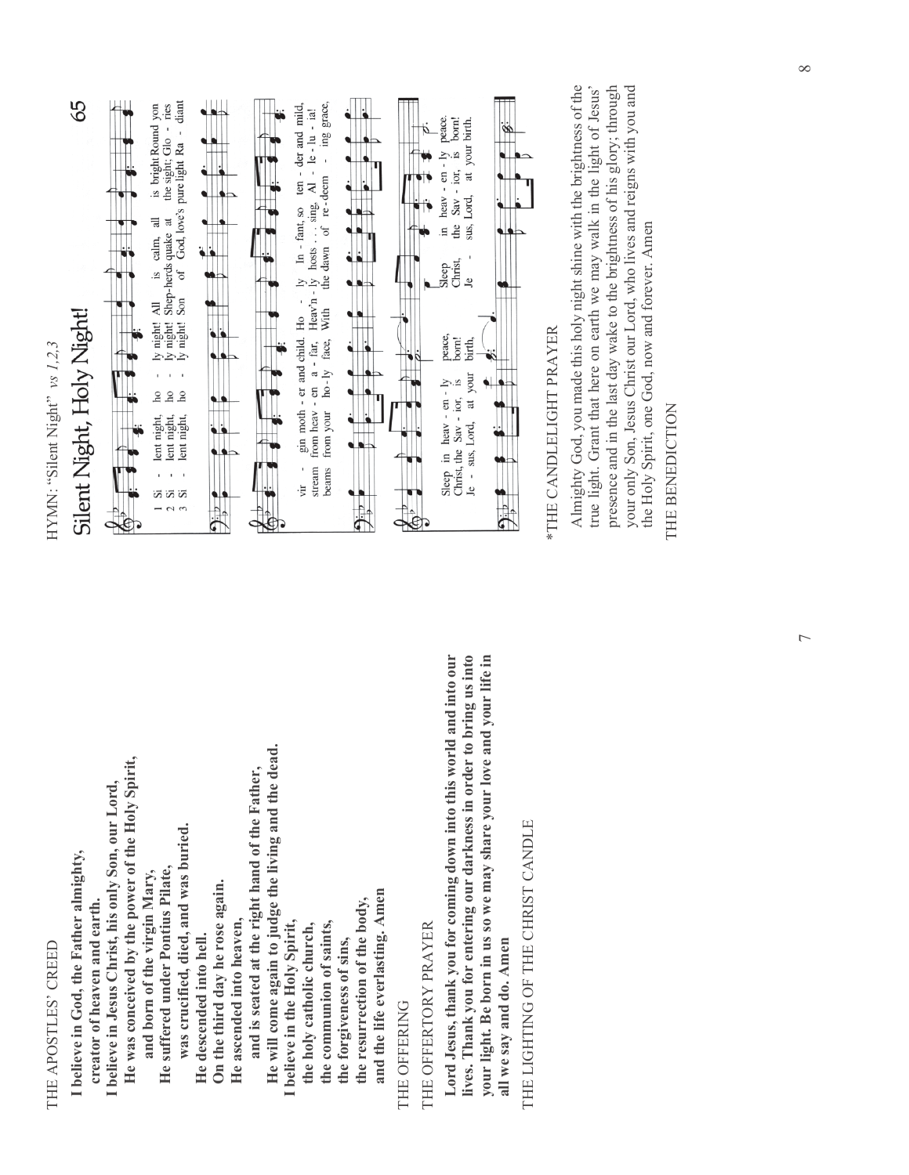THE APOSTLES' CREED THE APOSTLES' CREED

**I believe in God, the Father almighty,**  I believe in God, the Father almighty,

 **creator of heaven and earth.**  creator of heaven and earth.

 **He was conceived by the power of the Holy Spirit,**  He was conceived by the power of the Holy Spirit, **I believe in Jesus Christ, his only Son, our Lord,**  I believe in Jesus Christ, his only Son, our Lord,

and born of the virgin Mary,  **and born of the virgin Mary,** 

He suffered under Pontius Pilate,  **He suffered under Pontius Pilate,** 

 **was crucified, died, and was buried.**  was crucified, died, and was buried. He descended into hell.

 **On the third day he rose again.**  On the third day he rose again.  **He descended into hell.** 

He ascended into heaven,  **He ascended into heaven,** 

 **and is seated at the right hand of the Father,**  and is seated at the right hand of the Father,

 **He will come again to judge the living and the dead.**  He will come again to judge the living and the dead.

**I believe in the Holy Spirit,**  believe in the Holy Spirit,

 **the holy catholic church,**  the holy catholic church,

 **the communion of saints,**  the communion of saints,

 **the forgiveness of sins,**  the forgiveness of sins,

 **and the life everlasting. Amen**  and the life everlasting. Amen  **the resurrection of the body,**  the resurrection of the body,

THE OFFERING THE OFFERING

THE OFFERTORY PRAYER THE OFFERTORY PRAYER

**Lord Jesus, thank you for coming down into this world and into our lives. Thank you for entering our darkness in order to bring us into your light. Be born in us so we may share your love and your life in**  lives. Thank you for entering our darkness in order to bring us into your light. Be born in us so we may share your love and your life in Lord Jesus, thank you for coming down into this world and into our all we say and do. Amen **all we say and do. Amen** 

THE LIGHTING OF THE CHRIST CANDLE THE LIGHTING OF THE CHRIST CANDLE

HYMN: "Silent Night" vs 1,2,3 HYMN: "Silent Night" *vs 1,2,3* 



\*THE CANDLELIGHT PRAYER **THE CANDLELIGHT PRAYER** 

Almighty God, you made this holy night shine with the brightness of the true light. Grant that here on earth we may walk in the light of Jesus' presence and in the last day wake to the brightness of his glory; through your only Son, Jesus Christ our Lord, who lives and reigns with you and Almighty God, you made this holy night shine with the brightness of the your only Son, Jesus Christ our Lord, who lives and reigns with you and true light. Grant that here on earth we may walk in the light of Jesus' presence and in the last day wake to the brightness of his glory; through the Holy Spirit, one God, now and forever. Amen the Holy Spirit, one God, now and forever. Amen

THE BENEDICTION THE BENEDICTION

7